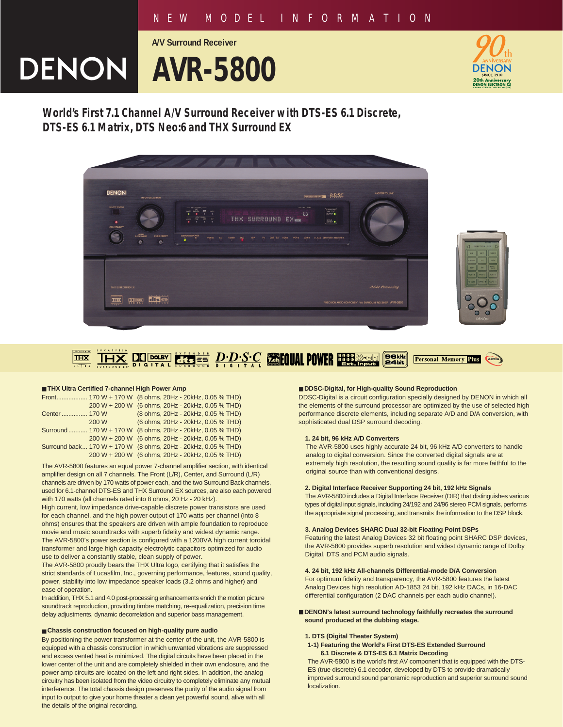## *NEW MODEL INFORMATION*

**A/V Surround Receiver**

# **DENON | AVR-5800**



**World's First 7.1 Channel A/V Surround Receiver with DTS-ES 6.1 Discrete, DTS-ES 6.1 Matrix, DTS Neo:6 and THX Surround EX**





#### **RISES D.D.S.C COUL POWER BENS-GRAN**  $\boxed{\phantom{1}}$  DOLBY 96klz **THX aktis Personal Memory Plus DIGITAL**

#### ■ **THX Ultra Certified 7-channel High Power Amp**

|              |       | Front 170 W + 170 W (8 ohms, 20Hz - 20kHz, 0.05 % THD)         |
|--------------|-------|----------------------------------------------------------------|
|              |       | 200 W + 200 W (6 ohms, 20Hz - 20kHz, 0.05 % THD)               |
| Center 170 W |       | (8 ohms, 20Hz - 20kHz, 0.05 % THD)                             |
|              | 200 W | (6 ohms, 20Hz - 20kHz, 0.05 % THD)                             |
|              |       | Surround  170 W + 170 W (8 ohms, 20Hz - 20kHz, 0.05 % THD)     |
|              |       | 200 W + 200 W (6 ohms, 20Hz - 20kHz, 0.05 % THD)               |
|              |       | Surround back 170 W + 170 W (8 ohms, 20Hz - 20kHz, 0.05 % THD) |
|              |       | 200 W + 200 W (6 ohms, 20Hz - 20kHz, 0.05 % THD)               |

The AVR-5800 features an equal power 7-channel amplifier section, with identical amplifier design on all 7 channels. The Front (L/R), Center, and Surround (L/R) channels are driven by 170 watts of power each, and the two Surround Back channels, used for 6.1-channel DTS-ES and THX Surround EX sources, are also each powered with 170 watts (all channels rated into 8 ohms, 20 Hz - 20 kHz).

High current, low impedance drive-capable discrete power transistors are used for each channel, and the high power output of 170 watts per channel (into 8 ohms) ensures that the speakers are driven with ample foundation to reproduce movie and music soundtracks with superb fidelity and widest dynamic range. The AVR-5800's power section is configured with a 1200VA high current toroidal transformer and large high capacity electrolytic capacitors optimized for audio use to deliver a constantly stable, clean supply of power.

The AVR-5800 proudly bears the THX Ultra logo, certifying that it satisfies the strict standards of Lucasfilm, Inc., governing performance, features, sound quality, power, stability into low impedance speaker loads (3.2 ohms and higher) and ease of operation.

In addition, THX 5.1 and 4.0 post-processing enhancements enrich the motion picture soundtrack reproduction, providing timbre matching, re-equalization, precision time delay adjustments, dynamic decorrelation and superior bass management.

#### ■ **Chassis construction focused on high-quality pure audio**

By positioning the power transformer at the center of the unit, the AVR-5800 is equipped with a chassis construction in which unwanted vibrations are suppressed and excess vented heat is minimized. The digital circuits have been placed in the lower center of the unit and are completely shielded in their own enclosure, and the power amp circuits are located on the left and right sides. In addition, the analog circuitry has been isolated from the video circuitry to completely eliminate any mutual interference. The total chassis design preserves the purity of the audio signal from input to output to give your home theater a clean yet powerful sound, alive with all the details of the original recording.

### ■ **DDSC-Digital, for High-quality Sound Reproduction**

DDSC-Digital is a circuit configuration specially designed by DENON in which all the elements of the surround processor are optimized by the use of selected high performance discrete elements, including separate A/D and D/A conversion, with sophisticated dual DSP surround decoding.

#### **1. 24 bit, 96 kHz A/D Converters**

The AVR-5800 uses highly accurate 24 bit, 96 kHz A/D converters to handle analog to digital conversion. Since the converted digital signals are at extremely high resolution, the resulting sound quality is far more faithful to the original source than with conventional designs.

#### **2. Digital Interface Receiver Supporting 24 bit, 192 kHz Signals**

The AVR-5800 includes a Digital Interface Receiver (DIR) that distinguishes various types of digital input signals, including 24/192 and 24/96 stereo PCM signals, performs the appropriate signal processing, and transmits the information to the DSP block.

## **3. Analog Devices SHARC Dual 32-bit Floating Point DSPs**

Featuring the latest Analog Devices 32 bit floating point SHARC DSP devices, the AVR-5800 provides superb resolution and widest dynamic range of Dolby Digital, DTS and PCM audio signals.

#### **4. 24 bit, 192 kHz All-channels Differential-mode D/A Conversion**

For optimum fidelity and transparency, the AVR-5800 features the latest Analog Devices high resolution AD-1853 24 bit, 192 kHz DACs, in 16-DAC differential configuration (2 DAC channels per each audio channel).

■ **DENON's latest surround technology faithfully recreates the surround sound produced at the dubbing stage.**

#### **1. DTS (Digital Theater System)**

**1-1) Featuring the World's First DTS-ES Extended Surround 6.1 Discrete & DTS-ES 6.1 Matrix Decoding**

The AVR-5800 is the world's first AV component that is equipped with the DTS-ES (true discrete) 6.1 decoder, developed by DTS to provide dramatically improved surround sound panoramic reproduction and superior surround sound localization.